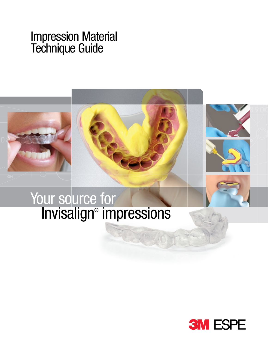# Impression Material Technique Guide



# Your source for Invisalign® impressions

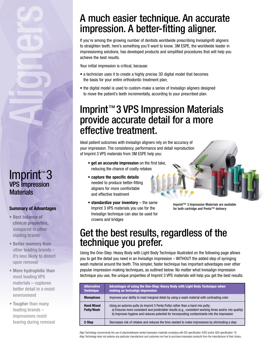### Imprint™ 3 VPS Impression **Materials**

### **Summary of Advantages**

- **Best balance of clinical properties,**  compared to other leading brands
- **Better memory than** other leading brands – it's less likely to distort upon removal
- **More hydrophilic than**  most leading VPS materials – captures better detail in a moist environment
- **Tougher** than many leading brands – impressions resist tearing during removal

## A much easier technique. An accurate impression. A better-fitting aligner.

If you're among the growing number of dentists worldwide prescribing Invisalign® aligners to straighten teeth, here's something you'll want to know. 3M ESPE, the worldwide leader in impressioning solutions, has developed products and simplified procedures that will help you achieve the best results.

Your initial impression is critical, because:

- a technician uses it to create a highly precise 3D digital model that becomes the basis for your entire orthodontic treatment plan;
- the digital model is used to custom-make a series of Invisalign aligners designed to move the patient's teeth incrementally, according to your prescribed plan.

## Imprint™3 VPS Impression Materials provide accurate detail for a more effective treatment.

Ideal patient outcomes with Invisalign aligners rely on the accuracy of your impression. The consistency, performance and detail reproduction of Imprint 3 VPS materials from 3M ESPE help you:

- **get an accurate impression** on the first take, reducing the chance of costly retakes
- **capture the specific details** needed to produce better-fitting aligners for more comfortable and effective treatment
- **standardize your inventory** the same Imprint 3 VPS materials you use for the Invisalign technique can also be used for crowns and bridges
- Imprint™ 3 Impression Materials are available for both cartridge and Penta™ delivery

### Get the best results, regardless of the technique you prefer.

Using the One-Step: Heavy Body with Light Body Technique illustrated on the following page allows you to get the detail you need in an Invisalign impression – WITHOUT the added step of syringing wash material around the teeth. This simpler, faster technique has important advantages over other popular impression-making techniques, as outlined below. No matter what Invisalign impression technique you use, the unique properties of Imprint 3 VPS materials will help you get the best results.

| <b>Alternative</b><br><b>Technique</b> | Advantages of using the One-Step: Heavy Body with Light Body Technique when<br>making an Invisalign impression                                                                                                                                                                            |
|----------------------------------------|-------------------------------------------------------------------------------------------------------------------------------------------------------------------------------------------------------------------------------------------------------------------------------------------|
| <b>Monophase</b>                       | Improves your ability to read marginal detail by using a wash material with contrasting color                                                                                                                                                                                             |
| <b>Hand Mixed</b><br><b>Putty/Wash</b> | Using an automix putty (ie Imprint 3 Penta Putty) rather than a hand mix putty:<br>a) Ensures more consistent and predictable results (e.g., consistent working times and/or mix quality)<br>b) Improves hygiene and reduces potential for incorporating contaminants into the impression |
| 2-Step                                 | Decreases risk of retakes and reduces the time needed to make impressions by eliminating a step                                                                                                                                                                                           |

Align Technology recommends the use of polyvinylsiloxane dental impression materials complying with ISO specification 4283 and/or ADA specification 19. Align Technology does not endorse any particular manufacturer and customers are free to purchase impression products from the manufacturer of their choice.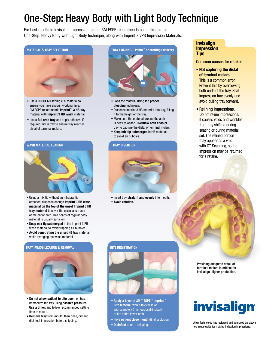# One-Step: Heavy Body with Light Body Technique

For best results in Invisalign impression taking, 3M ESPE recommends using this simple One-Step: Heavy Body with Light Body technique, along with Imprint 3 VPS Impression Materials.



- Use a **REGULAR** setting VPS material to ensure you have enough working time. 3M ESPE recommends **Imprint**™ **3 HB** tray material with **Imprint 3 RB wash** material.
- Use a **full arch tray** and apply adhesive if required. Try in tray to ensure tray reaches distal of terminal molars.

#### **WASH MATERIAL LOADING**



- Using a mix tip without an intraoral tip attached, dispense enough **Imprint 3 RB wash material on the top of the unset Imprint 3 HB tray material** to cover the occlusal surface of the entire arch. Two beads of regular body material is usually sufficient.
- **Keep mix tip submerged** in the Imprint 3 RB wash material to avoid trapping air bubbles.
- **Avoid penetrating the unset HB** tray material while syringing the wash material.

#### **TRAY IMMOBILIZATION & REMOVAL**



- **Do not allow patient to bite down** on tray. Immobilize the tray using **passive pressure. Use a timer**, and follow recommended setting time in mouth.
- **Remove tray** from mouth, then rinse, dry and disinfect impression before shipping.



- Load the material using the **proper bleeding** technique.
- Dispense Imprint 3 HB material into tray, filling it to the height of the tray.
- Make sure the material around the arch is heavily loaded. **Overflow both ends** of tray to capture the distal of terminal molars.
- **Keep mix tip submerged** in HB material to avoid air bubbles.

#### **TRAY INSERTION**



**•** Insert tray **straight and evenly** into mouth. • **Avoid rotation.**

#### **Invisalign Impression Tips**

#### **Common causes for retakes**

- **Not capturing the distal of terminal molars.** This is a common error. Prevent this by overflowing both ends of the tray. Seat impression tray evenly and avoid pulling tray forward.
- **Relining impressions.**  Do not reline impressions. It causes voids and wrinkles from tray shifting during seating or during material set. The relined portion may appear as a void with CT Scanning, so the impression may be returned for a retake.



terminal molars is critical for Invisalign aligner production.

# invisalign

Align Technology has reviewed and approved the above technique guide for making Invisalign impressions.

#### **BITE REGISTRATION**



- **Apply a layer of 3M**™ **ESPE**™ **Imprint**™ **Bite Material with a thickness of** approximately 5mm occlusal-incisally to the entire lower arch.
- Have **patient close mouth** (final occlusion).
- **Disinfect** prior to shipping.